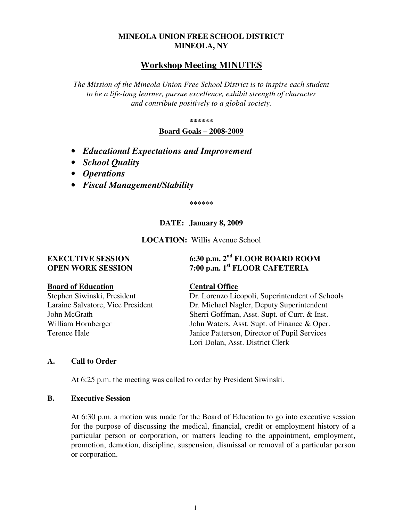## **MINEOLA UNION FREE SCHOOL DISTRICT MINEOLA, NY**

# **Workshop Meeting MINUTES**

*The Mission of the Mineola Union Free School District is to inspire each student to be a life-long learner, pursue excellence, exhibit strength of character and contribute positively to a global society.* 

**\*\*\*\*\*\*** 

#### **Board Goals – 2008-2009**

- *Educational Expectations and Improvement*
- *School Quality*
- *Operations*
- *Fiscal Management/Stability*

**\*\*\*\*\*\*** 

#### **DATE: January 8, 2009**

**LOCATION:** Willis Avenue School

#### **Board of Education Central Office**

# **EXECUTIVE SESSION 6:30 p.m. 2nd FLOOR BOARD ROOM OPEN WORK SESSION 7:00 p.m. 1<sup>st</sup> FLOOR CAFETERIA**

Stephen Siwinski, President Dr. Lorenzo Licopoli, Superintendent of Schools Laraine Salvatore, Vice President Dr. Michael Nagler, Deputy Superintendent John McGrath Sherri Goffman, Asst. Supt. of Curr. & Inst. William Hornberger John Waters, Asst. Supt. of Finance & Oper. Terence Hale Janice Patterson, Director of Pupil Services Lori Dolan, Asst. District Clerk

## **A. Call to Order**

At 6:25 p.m. the meeting was called to order by President Siwinski.

### **B. Executive Session**

At 6:30 p.m. a motion was made for the Board of Education to go into executive session for the purpose of discussing the medical, financial, credit or employment history of a particular person or corporation, or matters leading to the appointment, employment, promotion, demotion, discipline, suspension, dismissal or removal of a particular person or corporation.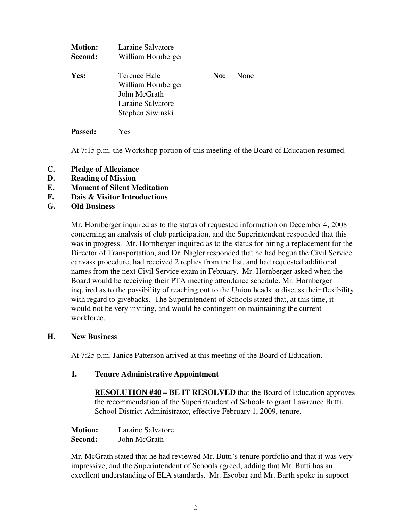| <b>Motion:</b><br>Second: | Laraine Salvatore<br>William Hornberger |     |      |
|---------------------------|-----------------------------------------|-----|------|
| Yes:                      | Terence Hale                            | No: | None |
|                           |                                         |     |      |
|                           | William Hornberger                      |     |      |
|                           | John McGrath                            |     |      |
|                           | Laraine Salvatore                       |     |      |
|                           | Stephen Siwinski                        |     |      |

At 7:15 p.m. the Workshop portion of this meeting of the Board of Education resumed.

- **C. Pledge of Allegiance**
- **D. Reading of Mission**
- **E. Moment of Silent Meditation**
- **F. Dais & Visitor Introductions**
- **G. Old Business**

Mr. Hornberger inquired as to the status of requested information on December 4, 2008 concerning an analysis of club participation, and the Superintendent responded that this was in progress. Mr. Hornberger inquired as to the status for hiring a replacement for the Director of Transportation, and Dr. Nagler responded that he had begun the Civil Service canvass procedure, had received 2 replies from the list, and had requested additional names from the next Civil Service exam in February. Mr. Hornberger asked when the Board would be receiving their PTA meeting attendance schedule. Mr. Hornberger inquired as to the possibility of reaching out to the Union heads to discuss their flexibility with regard to givebacks. The Superintendent of Schools stated that, at this time, it would not be very inviting, and would be contingent on maintaining the current workforce.

## **H. New Business**

At 7:25 p.m. Janice Patterson arrived at this meeting of the Board of Education.

## **1. Tenure Administrative Appointment**

**RESOLUTION #40 – BE IT RESOLVED** that the Board of Education approves the recommendation of the Superintendent of Schools to grant Lawrence Butti, School District Administrator, effective February 1, 2009, tenure.

| <b>Motion:</b> | Laraine Salvatore |
|----------------|-------------------|
| Second:        | John McGrath      |

Mr. McGrath stated that he had reviewed Mr. Butti's tenure portfolio and that it was very impressive, and the Superintendent of Schools agreed, adding that Mr. Butti has an excellent understanding of ELA standards. Mr. Escobar and Mr. Barth spoke in support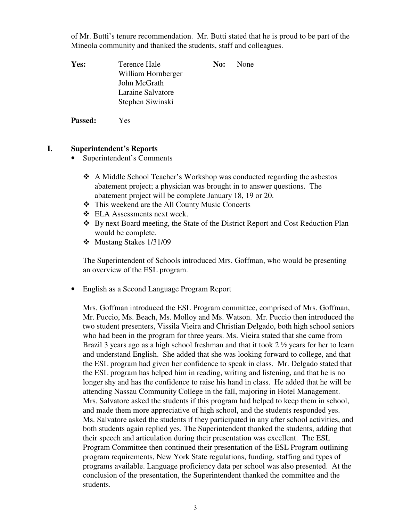of Mr. Butti's tenure recommendation. Mr. Butti stated that he is proud to be part of the Mineola community and thanked the students, staff and colleagues.

**Yes:** Terence Hale **No:** None William Hornberger John McGrath Laraine Salvatore Stephen Siwinski **Passed:** Yes

# **I. Superintendent's Reports**

- Superintendent's Comments
	- A Middle School Teacher's Workshop was conducted regarding the asbestos abatement project; a physician was brought in to answer questions. The abatement project will be complete January 18, 19 or 20.
	- This weekend are the All County Music Concerts
	- ELA Assessments next week.
	- By next Board meeting, the State of the District Report and Cost Reduction Plan would be complete.
	- Mustang Stakes 1/31/09

The Superintendent of Schools introduced Mrs. Goffman, who would be presenting an overview of the ESL program.

• English as a Second Language Program Report

Mrs. Goffman introduced the ESL Program committee, comprised of Mrs. Goffman, Mr. Puccio, Ms. Beach, Ms. Molloy and Ms. Watson. Mr. Puccio then introduced the two student presenters, Vissila Vieira and Christian Delgado, both high school seniors who had been in the program for three years. Ms. Vieira stated that she came from Brazil 3 years ago as a high school freshman and that it took 2  $\frac{1}{2}$  years for her to learn and understand English. She added that she was looking forward to college, and that the ESL program had given her confidence to speak in class. Mr. Delgado stated that the ESL program has helped him in reading, writing and listening, and that he is no longer shy and has the confidence to raise his hand in class. He added that he will be attending Nassau Community College in the fall, majoring in Hotel Management. Mrs. Salvatore asked the students if this program had helped to keep them in school, and made them more appreciative of high school, and the students responded yes. Ms. Salvatore asked the students if they participated in any after school activities, and both students again replied yes. The Superintendent thanked the students, adding that their speech and articulation during their presentation was excellent. The ESL Program Committee then continued their presentation of the ESL Program outlining program requirements, New York State regulations, funding, staffing and types of programs available. Language proficiency data per school was also presented. At the conclusion of the presentation, the Superintendent thanked the committee and the students.